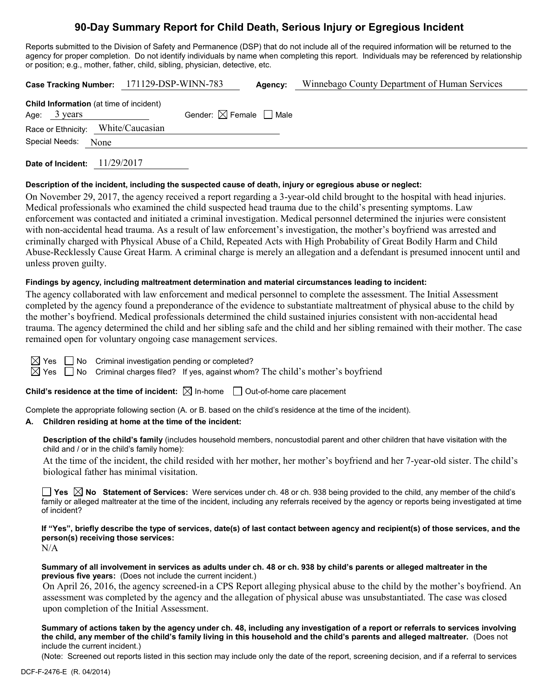# **90-Day Summary Report for Child Death, Serious Injury or Egregious Incident**

Reports submitted to the Division of Safety and Permanence (DSP) that do not include all of the required information will be returned to the agency for proper completion. Do not identify individuals by name when completing this report. Individuals may be referenced by relationship or position; e.g., mother, father, child, sibling, physician, detective, etc.

|                                                                   | Case Tracking Number: 171129-DSP-WINN-783 | Agency: | Winnebago County Department of Human Services |
|-------------------------------------------------------------------|-------------------------------------------|---------|-----------------------------------------------|
| Child Information (at time of incident)<br>Age: $3 \text{ years}$ | Gender: $\boxtimes$ Female $\Box$ Male    |         |                                               |
| Race or Ethnicity: White/Caucasian                                |                                           |         |                                               |
| Special Needs: None                                               |                                           |         |                                               |
|                                                                   |                                           |         |                                               |

**Date of Incident:** 11/29/2017

#### **Description of the incident, including the suspected cause of death, injury or egregious abuse or neglect:**

On November 29, 2017, the agency received a report regarding a 3-year-old child brought to the hospital with head injuries. Medical professionals who examined the child suspected head trauma due to the child's presenting symptoms. Law enforcement was contacted and initiated a criminal investigation. Medical personnel determined the injuries were consistent with non-accidental head trauma. As a result of law enforcement's investigation, the mother's boyfriend was arrested and criminally charged with Physical Abuse of a Child, Repeated Acts with High Probability of Great Bodily Harm and Child Abuse-Recklessly Cause Great Harm. A criminal charge is merely an allegation and a defendant is presumed innocent until and unless proven guilty.

#### **Findings by agency, including maltreatment determination and material circumstances leading to incident:**

The agency collaborated with law enforcement and medical personnel to complete the assessment. The Initial Assessment completed by the agency found a preponderance of the evidence to substantiate maltreatment of physical abuse to the child by the mother's boyfriend. Medical professionals determined the child sustained injuries consistent with non-accidental head trauma. The agency determined the child and her sibling safe and the child and her sibling remained with their mother. The case remained open for voluntary ongoing case management services.

| $\boxtimes$ Yes $\Box$ No Criminal investigation pending or completed? |  |  |  |  |  |
|------------------------------------------------------------------------|--|--|--|--|--|
|------------------------------------------------------------------------|--|--|--|--|--|

 $\boxtimes$  Yes  $\Box$  No Criminal charges filed? If yes, against whom? The child's mother's boyfriend

**Child's residence at the time of incident:**  $\boxtimes$  In-home  $\Box$  Out-of-home care placement

Complete the appropriate following section (A. or B. based on the child's residence at the time of the incident).

#### **A. Children residing at home at the time of the incident:**

**Description of the child's family** (includes household members, noncustodial parent and other children that have visitation with the child and / or in the child's family home):

At the time of the incident, the child resided with her mother, her mother's boyfriend and her 7-year-old sister. The child's biological father has minimal visitation.

**Yes No Statement of Services:** Were services under ch. 48 or ch. 938 being provided to the child, any member of the child's family or alleged maltreater at the time of the incident, including any referrals received by the agency or reports being investigated at time of incident?

**If "Yes", briefly describe the type of services, date(s) of last contact between agency and recipient(s) of those services, and the person(s) receiving those services:** N/A

**Summary of all involvement in services as adults under ch. 48 or ch. 938 by child's parents or alleged maltreater in the previous five years:** (Does not include the current incident.)

 On April 26, 2016, the agency screened-in a CPS Report alleging physical abuse to the child by the mother's boyfriend. An assessment was completed by the agency and the allegation of physical abuse was unsubstantiated. The case was closed upon completion of the Initial Assessment.

**Summary of actions taken by the agency under ch. 48, including any investigation of a report or referrals to services involving the child, any member of the child's family living in this household and the child's parents and alleged maltreater.** (Does not include the current incident.)

(Note: Screened out reports listed in this section may include only the date of the report, screening decision, and if a referral to services